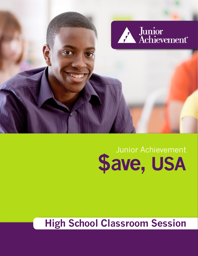### **High School Classroom Session**

# Junior Achievement **\$ave, usa**

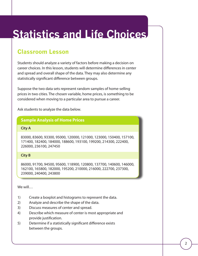## **Statistics and Life Choices**

### **Classroom Lesson**

Students should analyze a variety of factors before making a decision on career choices. In this lesson, students will determine differences in center and spread and overall shape of the data. They may also determine any statistically significant difference between groups.

Suppose the two data sets represent random samples of home-selling prices in two cities. The chosen variable, home prices, is something to be considered when moving to a particular area to pursue a career.

Ask students to analyze the data below.

#### **Sample Analysis of Home Prices**

#### **City A**

83000, 83600, 93300, 95000, 120000, 121000, 123000, 150400, 157100, 171400, 182400, 184000, 188600, 193100, 199200, 214300, 222400, 226000, 236100, 247450

#### **City B**

86000, 91700, 94500, 95600, 118900, 120800, 137700, 140600, 146000, 162100, 165800, 182000, 195200, 210000, 216000, 222700, 237300, 239000, 240400, 243800

#### We will…

- 1) Create a boxplot and histograms to represent the data.
- 2) Analyze and describe the shape of the data.
- 3) Discuss measures of center and spread.
- 4) Describe which measure of center is most appropriate and provide justification.
- 5) Determine if a statistically significant difference exists between the groups.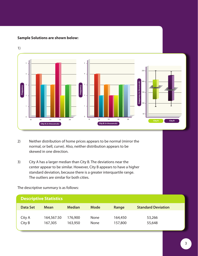#### **Sample Solutions are shown below:**



1)

- 2) Neither distribution of home prices appears to be normal (mirror the normal, or bell, curve). Also, neither distribution appears to be skewed in one direction.
- 3) City A has a larger median than City B. The deviations near the center appear to be similar. However, City B appears to have a higher standard deviation, because there is a greater interquartile range. The outliers are similar for both cities.

| <b>Descriptive Statistics</b> |             |               |             |         |                           |  |  |  |
|-------------------------------|-------------|---------------|-------------|---------|---------------------------|--|--|--|
| <b>Data Set</b>               | <b>Mean</b> | <b>Median</b> | <b>Mode</b> | Range   | <b>Standard Deviation</b> |  |  |  |
| City A                        | 164,567.50  | 176,900       | <b>None</b> | 164,450 | 53,266                    |  |  |  |
| City B                        | 167,305     | 163,950       | <b>None</b> | 157,800 | 55,648                    |  |  |  |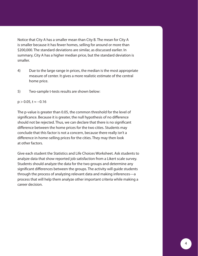Notice that City A has a smaller mean than City B. The mean for City A is smaller because it has fewer homes, selling for around or more than \$200,000. The standard deviations are similar, as discussed earlier. In summary, City A has a higher median price, but the standard deviation is smaller.

- 4) Due to the large range in prices, the median is the most appropriate measure of center. It gives a more realistic estimate of the central home price.
- 5) Two-sample t-tests results are shown below:

#### $p > 0.05$ , t ≈ -0.16

The p-value is greater than 0.05, the common threshold for the level of significance. Because it is greater, the null hypothesis of no difference should not be rejected. Thus, we can declare that there is no significant difference between the home prices for the two cities. Students may conclude that this factor is not a concern, because there really isn't a difference in home-selling prices for the cities. They may then look at other factors.

Give each student the Statistics and Life Choices Worksheet. Ask students to analyze data that show reported job satisfaction from a Likert scale survey. Students should analyze the data for the two groups and determine any significant differences between the groups. The activity will guide students through the process of analyzing relevant data and making inferences—a process that will help them analyze other important criteria while making a career decision.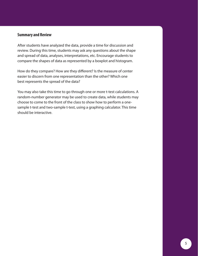#### **Summary and Review**

After students have analyzed the data, provide a time for discussion and review. During this time, students may ask any questions about the shape and spread of data, analyses, interpretations, etc. Encourage students to compare the shapes of data as represented by a boxplot and histogram.

How do they compare? How are they different? Is the measure of center easier to discern from one representation than the other? Which one best represents the spread of the data?

You may also take this time to go through one or more t-test calculations. A random-number generator may be used to create data, while students may choose to come to the front of the class to show how to perform a onesample t-test and two-sample t-test, using a graphing calculator. This time should be interactive.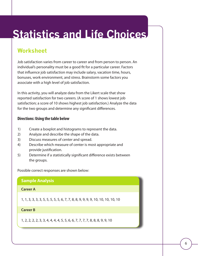## **Statistics and Life Choices**

### **Worksheet**

Job satisfaction varies from career to career and from person to person. An individual's personality must be a good fit for a particular career. Factors that influence job satisfaction may include salary, vacation time, hours, bonuses, work environment, and stress. Brainstorm some factors you associate with a high level of job satisfaction.

In this activity, you will analyze data from the Likert scale that show reported satisfaction for two careers. (A score of 1 shows lowest job satisfaction; a score of 10 shows highest job satisfaction.) Analyze the data for the two groups and determine any significant differences.

#### **Directions: Using the table below**

- 1) Create a boxplot and histograms to represent the data.
- 2) Analyze and describe the shape of the data.
- 3) Discuss measures of center and spread.
- 4) Describe which measure of center is most appropriate and provide justification.
- 5) Determine if a statistically significant difference exists between the groups.

Possible correct responses are shown below:

#### **Sample Analysis**

#### **Career A**

1, 1, 3, 3, 3, 3, 5, 5, 5, 5, 5, 6, 7, 7, 8, 8, 9, 9, 9, 9, 10, 10, 10, 10, 10

#### **Career B**

1, 2, 2, 2, 2, 3, 3, 4, 4, 4, 4, 5, 5, 6, 6, 7, 7, 7, 7, 8, 8, 8, 9, 9, 10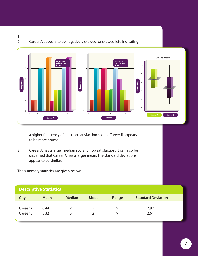1) 2) Career A appears to be negatively skewed, or skewed left, indicating



a higher frequency of high job satisfaction scores. Career B appears to be more normal.

3) Career A has a larger median score for job satisfaction. It can also be discerned that Career A has a larger mean. The standard deviations appear to be similar.

The summary statistics are given below:

| <b>Descriptive Statistics</b> |             |                      |             |       |                           |  |  |  |  |
|-------------------------------|-------------|----------------------|-------------|-------|---------------------------|--|--|--|--|
| <b>City</b>                   | <b>Mean</b> | <b>Median</b>        | <b>Mode</b> | Range | <b>Standard Deviation</b> |  |  |  |  |
| Career A                      | 6.44        |                      | 5           |       | 2.97                      |  |  |  |  |
| Career B                      | 5.32        | $\ddot{\phantom{1}}$ |             |       | 2.61                      |  |  |  |  |
|                               |             |                      |             |       |                           |  |  |  |  |

#### 7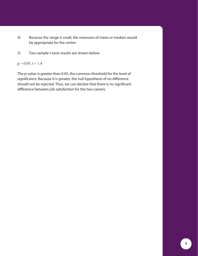- 4) Because the range is small, the measures of mean or median would be appropriate for the center.
- 5) Two-sample t-tests results are shown below:

 $p > 0.05, t \approx 1.4$ 

The p-value is greater than 0.05, the common threshold for the level of significance. Because it is greater, the null hypothesis of no difference should not be rejected. Thus, we can declare that there is no significant difference between job satisfaction for the two careers.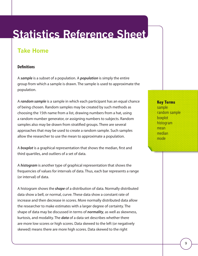## **Statistics Reference Sheet**

### **Take Home**

#### **Definitions**

A *sample* is a subset of a population. A *population* is simply the entire group from which a sample is drawn. The sample is used to approximate the population.

A *random sample* is a sample in which each participant has an equal chance of being chosen. Random samples may be created by such methods as choosing the 15th name from a list, drawing numbers from a hat, using a random-number generator, or assigning numbers to subjects. Random samples also may be drawn from stratified groups. There are several approaches that may be used to create a random sample. Such samples allow the researcher to use the mean to approximate a population.

A *boxplot* is a graphical representation that shows the median, first and third quartiles, and outliers of a set of data.

A *histogram* is another type of graphical representation that shows the frequencies of values for intervals of data. Thus, each bar represents a range (or interval) of data.

A histogram shows the *shape* of a distribution of data. Normally distributed data show a bell, or normal, curve. These data show a constant rate of increase and then decrease in scores. More normally distributed data allow the researcher to make estimates with a larger degree of certainty. The shape of data may be discussed in terms of *normality*, as well as skewness, kurtosis, and modality. The *data* of a data set describes whether there are more low scores or high scores. Data skewed to the left (or negatively skewed) means there are more high scores. Data skewed to the right

**Key Terms** sample random sample boxplot histogram mean median mode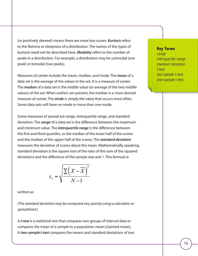(or positively skewed) means there are more low scores. *Kurtosis* refers to the flatness or steepness of a distribution. The names of the types of kurtosis need not be described here. *Modality* refers to the number of peaks in a distribution. For example, a distribution may be unimodal (one peak) or bimodal (two peaks).

Measures of center include the mean, median, and mode. The *mean* of a data set is the average of the values in the set. It is a measure of center. The *median* of a data set is the middle value (or average of the two middle values) of the set. When outliers are present, the median is a more desired measure of center. The *mode* is simply the value that occurs most often. Some data sets will have no mode or more than one mode.

Some measures of spread are range, interquartile range, and standard deviation. The *range* of a data set is the difference between the maximum and minimum value. The *interquartile range* is the difference between the first and third quartiles, or the median of the lower half of the scores and the median of the upper half of the scores. The *standard deviation* measures the deviation of scores about the mean. Mathematically speaking, standard deviation is the square root of the ratio of the sum of the squared deviations and the difference of the sample size and 1. This formula is

$$
s_x = \sqrt{\frac{\sum (X - \overline{X})^2}{N - 1}}
$$

written as:

(*The standard deviation may be computed very quickly using a calculator or spreadsheet.*)

A *t-test* is a statistical test that compares two groups of interval data or compares the mean of a sample to a population mean (claimed mean). A *two-sample t-test* compares the means and standard deviations of two

#### **Key Terms** range interquartile range standard deviation t-test two-sample t-test one-sample t-test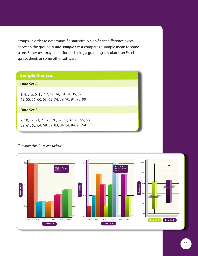groups, in order to determine if a statistically significant difference exists between the groups. A *one-sample t-test* compares a sample mean to some score. Either test may be performed using a graphing calculator, an Excel spreadsheet, or some other software.

#### **Sample Analysis**

#### **Data Set A**

1, 4, 5, 5, 6, 10, 12, 12, 14, 19, 34, 35, 37, 45, 55, 56, 60, 63, 65, 74, 89, 90, 91, 93, 99

#### **Data Set B**

9, 10, 17, 21, 21, 26, 26, 37, 37, 37, 40, 55, 56, 59, 61, 62, 64, 68, 69, 83, 84, 84, 84, 90, 94

#### *Consider the data sets below:*

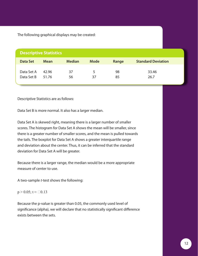The following graphical displays may be created:

| <b>Descriptive Statistics</b> |             |               |             |       |                           |  |  |  |
|-------------------------------|-------------|---------------|-------------|-------|---------------------------|--|--|--|
| <b>Data Set</b>               | <b>Mean</b> | <b>Median</b> | <b>Mode</b> | Range | <b>Standard Deviation</b> |  |  |  |
| Data Set A                    | 42.96       | 37            | 5           | 98    | 33.46                     |  |  |  |
| Data Set B                    | 51.76       | 56            | 37          | 85    | 26.7                      |  |  |  |

Descriptive Statistics are as follows:

Data Set B is more normal. It also has a larger median.

Data Set A is skewed right, meaning there is a larger number of smaller scores. The histogram for Data Set A shows the mean will be smaller, since there is a greater number of smaller scores, and the mean is pulled towards the tails. The boxplot for Data Set A shows a greater interquartile range and deviation about the center. Thus, it can be inferred that the standard deviation for Data Set A will be greater.

Because there is a larger range, the median would be a more appropriate measure of center to use.

A two-sample *t*-test shows the following:

 $p > 0.05$ ; t ≈  $\Box 0.13$ 

Because the p-value is greater than 0.05, the commonly used level of significance (alpha), we will declare that no statistically significant difference exists between the sets.